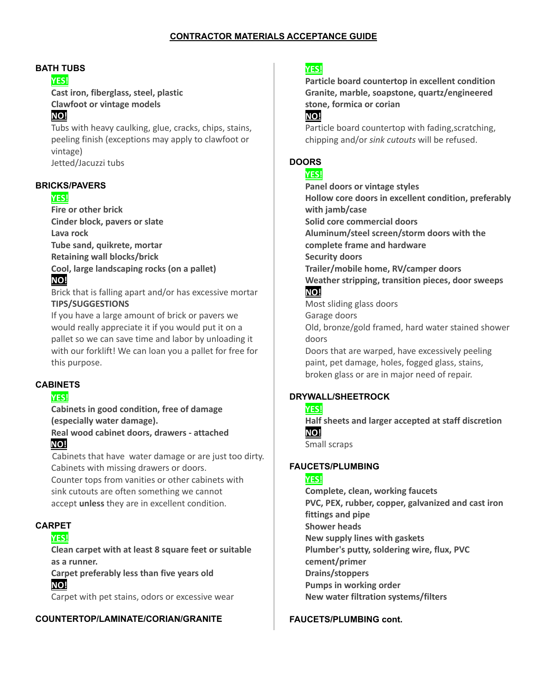#### **BATH TUBS**

#### **YES!**

**Cast iron, fiberglass, steel, plastic Clawfoot or vintage models**

## **NO!**

Tubs with heavy caulking, glue, cracks, chips, stains, peeling finish (exceptions may apply to clawfoot or vintage) Jetted/Jacuzzi tubs

#### **BRICKS/PAVERS**

#### **YES!**

**Fire or other brick Cinder block, pavers or slate Lava rock Tube sand, quikrete, mortar Retaining wall blocks/brick Cool, large landscaping rocks (on a pallet)**

# **NO!**

Brick that is falling apart and/or has excessive mortar **TIPS/SUGGESTIONS**

If you have a large amount of brick or pavers we would really appreciate it if you would put it on a pallet so we can save time and labor by unloading it with our forklift! We can loan you a pallet for free for this purpose.

#### **CABINETS**

#### **YES!**

**Cabinets in good condition, free of damage (especially water damage).**

**Real wood cabinet doors, drawers - attached NO!**

Cabinets that have water damage or are just too dirty. Cabinets with missing drawers or doors.

Counter tops from vanities or other cabinets with sink cutouts are often something we cannot accept **unless** they are in excellent condition.

## **CARPET**

## **YES!**

**Clean carpet with at least 8 square feet or suitable as a runner.**

**Carpet preferably less than five years old NO!**

Carpet with pet stains, odors or excessive wear

#### **COUNTERTOP/LAMINATE/CORIAN/GRANITE**

## **YES!**

**Particle board countertop in excellent condition Granite, marble, soapstone, quartz/engineered stone, formica or corian**

## **NO!**

Particle board countertop with fading, scratching, chipping and/or *sink cutouts* will be refused.

## **DOORS**

#### **YES!**

**Panel doors or vintage styles Hollow core doors in excellent condition, preferably with jamb/case Solid core commercial doors Aluminum/steel screen/storm doors with the complete frame and hardware Security doors Trailer/mobile home, RV/camper doors Weather stripping, transition pieces, door sweeps NO!** Most sliding glass doors

Garage doors Old, bronze/gold framed, hard water stained shower doors

Doors that are warped, have excessively peeling paint, pet damage, holes, fogged glass, stains, broken glass or are in major need of repair.

#### **DRYWALL/SHEETROCK**

#### **YES!**

**Half sheets and larger accepted at staff discretion NO!**

Small scraps

### **FAUCETS/PLUMBING**

#### **YES!**

**Complete, clean, working faucets PVC, PEX, rubber, copper, galvanized and cast iron fittings and pipe Shower heads New supply lines with gaskets Plumber's putty, soldering wire, flux, PVC cement/primer Drains/stoppers Pumps in working order New water filtration systems/filters**

#### **FAUCETS/PLUMBING cont.**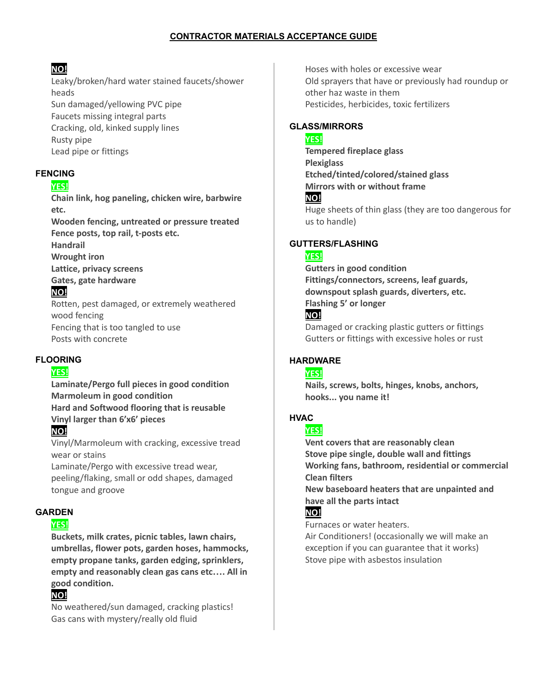# **NO!**

Leaky/broken/hard water stained faucets/shower heads Sun damaged/yellowing PVC pipe Faucets missing integral parts Cracking, old, kinked supply lines Rusty pipe Lead pipe or fittings

## **FENCING**

## **YES!**

**Chain link, hog paneling, chicken wire, barbwire etc. Wooden fencing, untreated or pressure treated Fence posts, top rail, t-posts etc.**

**Handrail**

**Wrought iron Lattice, privacy screens**

**Gates, gate hardware**

# **NO!**

Rotten, pest damaged, or extremely weathered wood fencing Fencing that is too tangled to use Posts with concrete

## **FLOORING**

## **YES!**

**Laminate/Pergo full pieces in good condition Marmoleum in good condition Hard and Softwood flooring that is reusable Vinyl larger than 6'x6' pieces**

# **NO!**

Vinyl/Marmoleum with cracking, excessive tread wear or stains

Laminate/Pergo with excessive tread wear, peeling/flaking, small or odd shapes, damaged tongue and groove

## **GARDEN**

## **YES!**

**Buckets, milk crates, picnic tables, lawn chairs, umbrellas, flower pots, garden hoses, hammocks, empty propane tanks, garden edging, sprinklers, empty and reasonably clean gas cans etc…. All in good condition.**

# **NO!**

No weathered/sun damaged, cracking plastics! Gas cans with mystery/really old fluid

Hoses with holes or excessive wear Old sprayers that have or previously had roundup or other haz waste in them Pesticides, herbicides, toxic fertilizers

## **GLASS/MIRRORS**

### **YES!**

**Tempered fireplace glass Plexiglass Etched/tinted/colored/stained glass Mirrors with or without frame NO!** Huge sheets of thin glass (they are too dangerous for us to handle)

## **GUTTERS/FLASHING**

## **YES!**

**Gutters in good condition Fittings/connectors, screens, leaf guards, downspout splash guards, diverters, etc. Flashing 5' or longer NO!**

Damaged or cracking plastic gutters or fittings Gutters or fittings with excessive holes or rust

## **HARDWARE**

#### **YES!**

**Nails, screws, bolts, hinges, knobs, anchors, hooks... you name it!**

# **HVAC**

## **YES!**

**Vent covers that are reasonably clean Stove pipe single, double wall and fittings Working fans, bathroom, residential or commercial Clean filters**

**New baseboard heaters that are unpainted and have all the parts intact**

# **NO!**

Furnaces or water heaters.

Air Conditioners! (occasionally we will make an exception if you can guarantee that it works) Stove pipe with asbestos insulation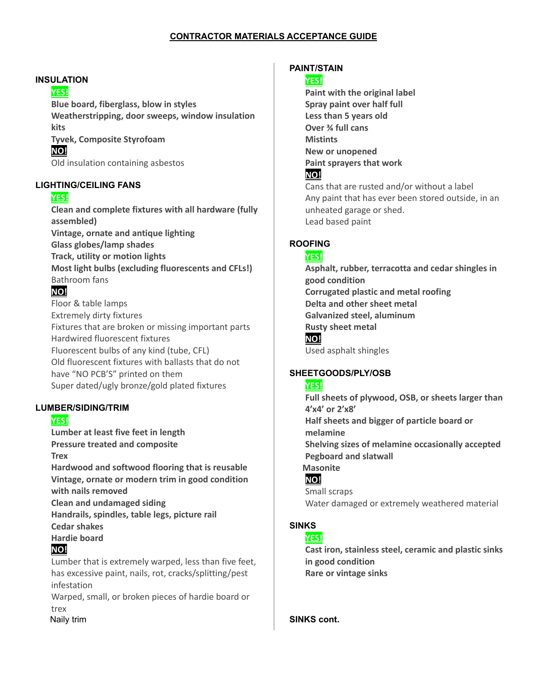#### **INSULATION**

#### **YES!**

**Blue board, fiberglass, blow in styles Weatherstripping, door sweeps, window insulation kits**

**Tyvek, Composite Styrofoam**

**NO!**

Old insulation containing asbestos

#### **LIGHTING/CEILING FANS**

#### **YES!**

**Clean and complete fixtures with all hardware (fully assembled) Vintage, ornate and antique lighting Glass globes/lamp shades Track, utility or motion lights Most light bulbs (excluding fluorescents and CFLs!)** Bathroom fans

## **NO!**

Floor & table lamps Extremely dirty fixtures Fixtures that are broken or missing important parts Hardwired fluorescent fixtures Fluorescent bulbs of any kind (tube, CFL) Old fluorescent fixtures with ballasts that do not have "NO PCB'S" printed on them Super dated/ugly bronze/gold plated fixtures

#### **LUMBER/SIDING/TRIM**

## **YES!**

**Lumber at least five feet in length Pressure treated and composite Trex Hardwood and softwood flooring that is reusable Vintage, ornate or modern trim in good condition**

**with nails removed**

**Clean and undamaged siding**

**Handrails, spindles, table legs, picture rail**

**Cedar shakes**

**Hardie board**

## **NO!**

Lumber that is extremely warped, less than five feet, has excessive paint, nails, rot, cracks/splitting/pest infestation

Warped, small, or broken pieces of hardie board or trex

Naily trim

## **PAINT/STAIN**

#### **YES!**

**Paint with the original label Spray paint over half full Less than 5 years old Over ¾ full cans Mistints New or unopened Paint sprayers that work NO!**

Cans that are rusted and/or without a label Any paint that has ever been stored outside, in an unheated garage or shed. Lead based paint

## **ROOFING**

#### **YES!**

**Asphalt, rubber, terracotta and cedar shingles in good condition Corrugated plastic and metal roofing Delta and other sheet metal Galvanized steel, aluminum Rusty sheet metal NO!**

Used asphalt shingles

## **SHEETGOODS/PLY/OSB**

#### **YES!**

**Full sheets of plywood, OSB, or sheets larger than 4'x4' or 2'x8' Half sheets and bigger of particle board or melamine Shelving sizes of melamine occasionally accepted Pegboard and slatwall Masonite NO!**

Small scraps Water damaged or extremely weathered material

## **SINKS**

#### **YES!**

**Cast iron, stainless steel, ceramic and plastic sinks in good condition Rare or vintage sinks**

**SINKS cont.**